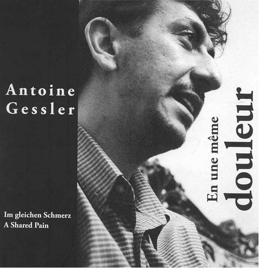## Antoine Gessler

Im gleichen Schmerz **A Shared Pain** 

douleur En une même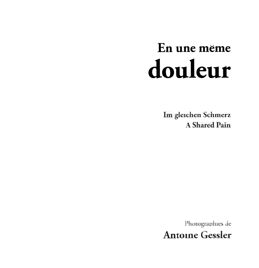# En une même douleur

Im gleichen Schmerz **A Shared Pain** 

Photographies de **Antoine Gessler**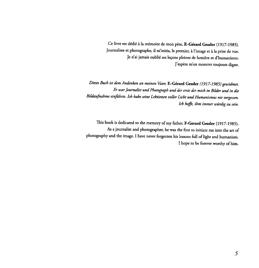Ce livre est dédié à la mémoire de mon père, F.-Gérard Gessler (1917-1985). Journaliste et photographe, il m'initia, le premier, à l'image et à la prise de vue. Je n'ai jamais oublié ses leçons pleines de lumière et d'humanisme. J'espère m'en montrer toujours digne.

Dieses Buch ist dem Andenken an meinen Vater, F.-Gérard Gessler (1917-1985) gewidmet. Er war Journalist und Photograph und der erste der mich in Bilder und in die Bildaufnahme einfthrte. Ich habe seine Lektionen voller Licht und Humanismus nie vergessen. Ich hoffe, ihm immer würdig zu sein.

This book is dedicated to the memory of my father, F-Gerard Gessler (1917-1985). As a journalist and photographer, he was the first to initiate me into the art of photography and the image. I have never forgotten his lessons full of light and humanism. I hope to be forever worthy of him.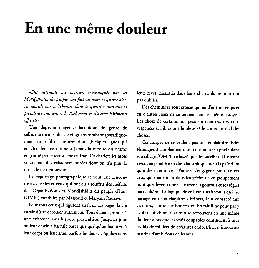#### En une même douleur

«Des attentats au mortier, revendiqués par les Moudjahidin du peuple, ont fait un mort et quatre blessés samedi soir à Téhéran, dans le quartier abritant la présidence iranienne, le Parlement et d'autres bâtiments officiels ».

Une dépêche d'agence laconique du genre de celles qui depuis plus de vingt ans tombent sporadiquement sur Ie fil de l'information. Quelques lignes qui en Occident ne donnent jamais la mesure du drame engendré par le terrorisme en Iran. Or derrière les mots se cachent des existences brisées dont on n'a plus le droit de ne rien savoir.

Ce reportage photographique se veut une rencontre avec celles et ceux qui ont eu à souffrir des méfaits de l'Organisation des Moudjahidin du peuple d'Iran (OMPI) conduite par Massoud et Maryam Radjavi.

Pour tous ceux qui figurent au fil de ces pages, la vie aurait dû se dérouler autrement. Tous étaient promis à une existence sans histoire particuliere. Jusqu'au jour où leur destin a basculé parce que quelqu'un leur a volé leur corps ou leur âme, parfois les deux... Spoliés dans leurs rêves, meurtris dans leurs chairs, ils ne pourront pas oublier.

Des chemins se sont croisés qui en d'autres temps et en d'autres lieux ne se seraient jamais même côtoyés. Les choix de certains ont pesé sur d'autres, des convergences terribles ant bouleverse Ie cours normal des chases.

Ces images ne se veulent pas un réquisitoire. Elles témoignent simplement d'un constat sans appel : dans son sillage l'OMPI n'a laissé que des sacrifiés. D'aucuns vivent en parallele en cherchant simplement la paix d'un quotidien retrouvé. D'autres s'engagent pour sauver ceux qui demeurent dans les griffes de ce groupement politique devenu une secte avec ses gourous et ses regles particulieres. La logique de ce livre aurait voulu qu'il se partage en deux chapitres distincts, l'un consacré aux victimes, l'autre aux bourreaux. En fait il ne peut pas y avoir de division. Car tous se retrouvent en une même douleur alors que les vrais coupables continuent à tirer les fils de milliers de créatures endoctrinées, innocents pantins d'ambitions delirantes.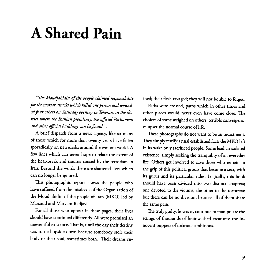### **A Shared Pain**

" The Moudjahidin of the people claimed responsibility for the mortar attacks which killed one person and wounded four others on Saturday evening in Teheran, in the district where the Iranian presidency, the official Parliament and other official buildings can be found ".

A brief dispatch from a news agency, like so many of those which for more than twenty years have fallen sporadically on newsdesks around the western world. A few lines which can never hope to relate the extent of the heartbreak and trauma caused by the terrorism in Iran. Beyond the words there are shattered lives which can no longer be ignored.

This photographic report shows the people who have suffered from the misdeeds of the Organization of the Moudjahidin of the people of Iran (MKO) led by Massoud and Maryam Radjavi.

For all those who appear in these pages, their lives should have continued differently. All were promised an uneventful existence. That is, until the day their destiny was turned upside down because somebody stole their body or their soul, sometimes both. Their dreams ruined; their flesh ravaged; they will not be able to forget.

Paths were crossed, paths which in other times and other places would never even have come close. The choices of some weighed on others, terrible convergences upset the normal course of life.

These photographs do not want to be an indictment. They simply testify a final established fact: the MKO left in its wake only sacrificed people. Some lead an isolated existence, simply seeking the tranquility of an everyday life. Others get involved to save those who remain in the grip of this political group that became a sect, with its gurus and its particular rules. Logically, this book should have been divided into two distinct chapters; one devoted to the victims; the other to the torturers: but there can be no division, because all of them share the same pain.

The truly guilty, however, continue to manipulate the strings of thousands of brainwashed creatures: the innocent puppets of delirious ambitions.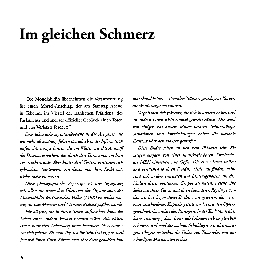## Im gleichen Schmerz

"Die Moudjahidin übernehmen die Verantwortung für einen Mörtel-Anschlag, der am Samstag Abend in Teheran, im Viertel der iranischen Präsidenz, des Parlaments und anderer offizieller Gebäude einen Toten und vier Verletzte forderte".

Eine lakonische Agenturdepesche in der Art jener, die seit mehr als zwanzig Jahren sporadisch in der Information auftaucht. Einige Linien, die im Westen nie das Ausmaß des Dramas erreichen, das durch den Terrorismus im Iran verursacht wurde. Aber hinter den Wortern verstecken sich gebrochene Existenzen, van denen man kein Recht hat, nichts mehr zu wissen.

Diese photographische Reportage ist eine Begegnung mit allen die unter den Übeltaten der Organisation der Moudjahidin des iranischen VoLkes (MEK) zu Leiden hatten, die von Massoud und Maryam Radjavi geführt wurde.

Für all jene, die in diesen Seiten auftauchen, hätte das Leben einen andern Verlauf nehmen sollen. Alle hätten einen normalen Lebenslauf ohne besondere Geschehnisse vor sich gehabt. Bis zum Tag, wo ihr Schicksal kippte, weil jemand ihnen ihren Körper oder ihre Seele gestohlen hat,

manchmal beides... Beraubte Träume, geschlagene Körper, die sie nie vergessen können.

Wege haben sich gekreuzt, die sich in andern Zeiten und an andern Orten nicht einmal gestreift hätten. Die Wahl van einigen hat andere schwer belastet, Schicksalhafte Situationen und Entscheidungen haben die normale Existenz uber den Haufen geworfen.

Diese Bilder sollen an sich kein Plädoyer sein. Sie zeugen einfach von einer undiskutierbaren Tatschache: die MEK hinterliess nur Opfer. Die einen leben isoliert und versuchen so ihren Frieden wieder zu finden, während sich andere einsetzten um Leidensgenossen aus den Krallen dieser politischen Gruppe zu retten, welche eine Sekte mit ihren Gurus und ihren besonderen Regeln geworden ist. Die Logik dieses Buches wäre gewesen, dass es in zwei verschiedenen Kapiteln geteilt wird; eines den Opfern gewidmet, das andere den Peinigern. In der Tat kann es aber keine Trennung geben. Denn aile bejinden sich im gleichen Schmerz, während die wahren Schuldigen mit übermässigem Ehrgeiz weiterhin die Fäden von Tausenden von unschuldigen Marionetten ziehen.